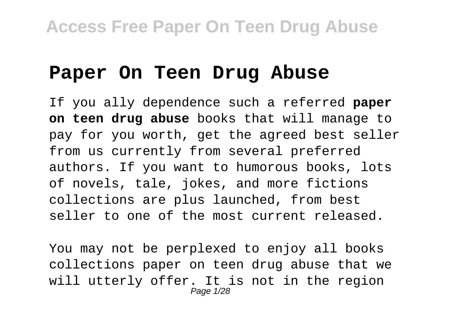#### **Paper On Teen Drug Abuse**

If you ally dependence such a referred **paper on teen drug abuse** books that will manage to pay for you worth, get the agreed best seller from us currently from several preferred authors. If you want to humorous books, lots of novels, tale, jokes, and more fictions collections are plus launched, from best seller to one of the most current released.

You may not be perplexed to enjoy all books collections paper on teen drug abuse that we will utterly offer. It is not in the region Page 1/28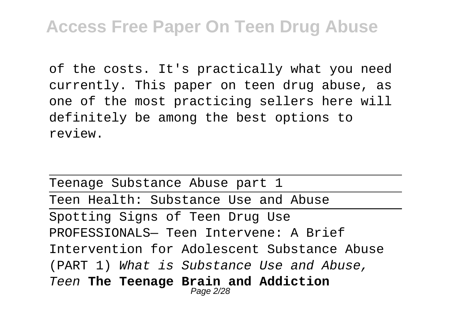of the costs. It's practically what you need currently. This paper on teen drug abuse, as one of the most practicing sellers here will definitely be among the best options to review.

Teenage Substance Abuse part 1 Teen Health: Substance Use and Abuse Spotting Signs of Teen Drug Use PROFESSIONALS— Teen Intervene: A Brief Intervention for Adolescent Substance Abuse (PART 1) What is Substance Use and Abuse, Teen **The Teenage Brain and Addiction** Page 2/28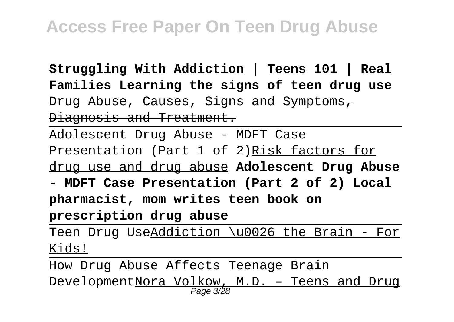**Struggling With Addiction | Teens 101 | Real Families Learning the signs of teen drug use** Drug Abuse, Causes, Signs and Symptoms, Diagnosis and Treatment.

Adolescent Drug Abuse - MDFT Case Presentation (Part 1 of 2)Risk factors for drug use and drug abuse **Adolescent Drug Abuse**

**- MDFT Case Presentation (Part 2 of 2) Local pharmacist, mom writes teen book on prescription drug abuse**

Teen Drug UseAddiction \u0026 the Brain - For Kids!

How Drug Abuse Affects Teenage Brain

Development<u>Nora Volkow, M.D. - Teens and Drug</u><br>Page 3/28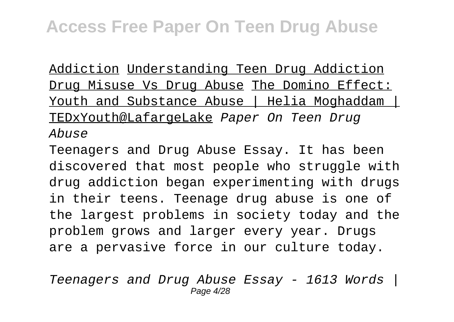Addiction Understanding Teen Drug Addiction Drug Misuse Vs Drug Abuse The Domino Effect: Youth and Substance Abuse | Helia Moghaddam | TEDxYouth@LafargeLake Paper On Teen Drug Abuse

Teenagers and Drug Abuse Essay. It has been discovered that most people who struggle with drug addiction began experimenting with drugs in their teens. Teenage drug abuse is one of the largest problems in society today and the problem grows and larger every year. Drugs are a pervasive force in our culture today.

Teenagers and Drug Abuse Essay - 1613 Words | Page 4/28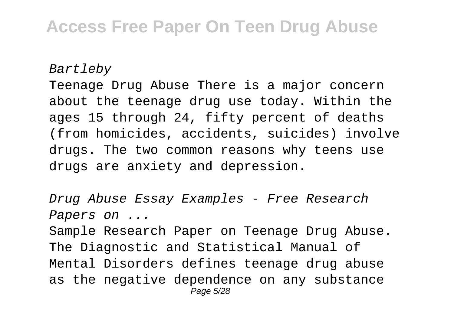Bartleby

Teenage Drug Abuse There is a major concern about the teenage drug use today. Within the ages 15 through 24, fifty percent of deaths (from homicides, accidents, suicides) involve drugs. The two common reasons why teens use drugs are anxiety and depression.

Drug Abuse Essay Examples - Free Research Papers on ...

Sample Research Paper on Teenage Drug Abuse. The Diagnostic and Statistical Manual of Mental Disorders defines teenage drug abuse as the negative dependence on any substance Page 5/28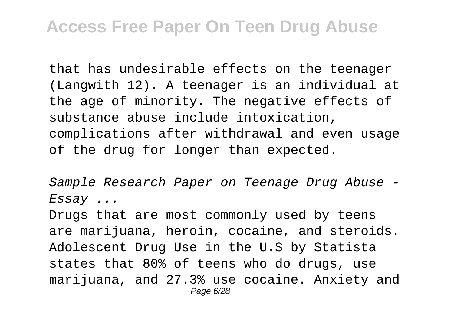that has undesirable effects on the teenager (Langwith 12). A teenager is an individual at the age of minority. The negative effects of substance abuse include intoxication, complications after withdrawal and even usage of the drug for longer than expected.

Sample Research Paper on Teenage Drug Abuse - Essay ...

Drugs that are most commonly used by teens are marijuana, heroin, cocaine, and steroids. Adolescent Drug Use in the U.S by Statista states that 80% of teens who do drugs, use marijuana, and 27.3% use cocaine. Anxiety and Page 6/28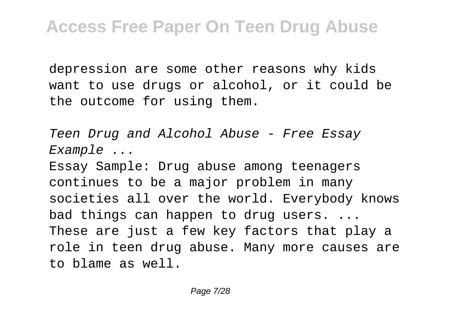depression are some other reasons why kids want to use drugs or alcohol, or it could be the outcome for using them.

Teen Drug and Alcohol Abuse - Free Essay Example ...

Essay Sample: Drug abuse among teenagers continues to be a major problem in many societies all over the world. Everybody knows bad things can happen to drug users. ... These are just a few key factors that play a role in teen drug abuse. Many more causes are to blame as well.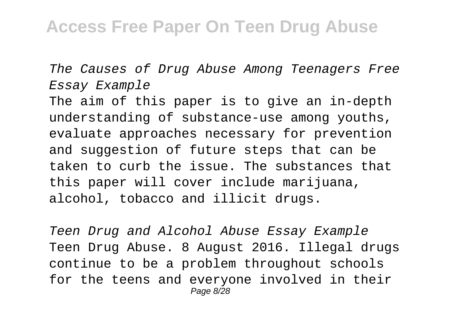The Causes of Drug Abuse Among Teenagers Free Essay Example

The aim of this paper is to give an in-depth understanding of substance-use among youths, evaluate approaches necessary for prevention and suggestion of future steps that can be taken to curb the issue. The substances that this paper will cover include marijuana, alcohol, tobacco and illicit drugs.

Teen Drug and Alcohol Abuse Essay Example Teen Drug Abuse. 8 August 2016. Illegal drugs continue to be a problem throughout schools for the teens and everyone involved in their Page 8/28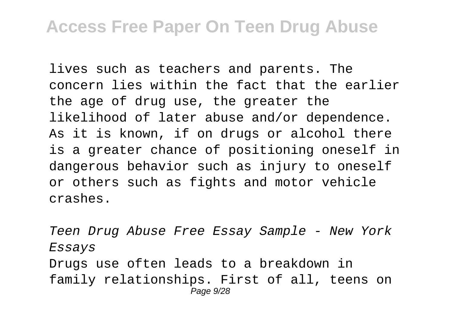lives such as teachers and parents. The concern lies within the fact that the earlier the age of drug use, the greater the likelihood of later abuse and/or dependence. As it is known, if on drugs or alcohol there is a greater chance of positioning oneself in dangerous behavior such as injury to oneself or others such as fights and motor vehicle crashes.

Teen Drug Abuse Free Essay Sample - New York Essays Drugs use often leads to a breakdown in family relationships. First of all, teens on Page 9/28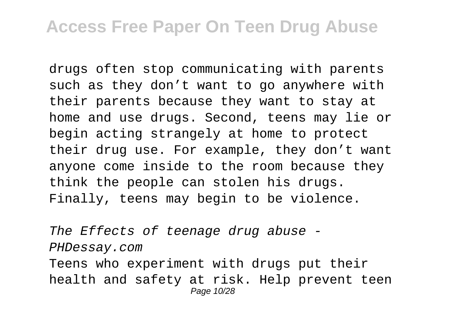drugs often stop communicating with parents such as they don't want to go anywhere with their parents because they want to stay at home and use drugs. Second, teens may lie or begin acting strangely at home to protect their drug use. For example, they don't want anyone come inside to the room because they think the people can stolen his drugs. Finally, teens may begin to be violence.

The Effects of teenage drug abuse - PHDessay.com Teens who experiment with drugs put their health and safety at risk. Help prevent teen Page 10/28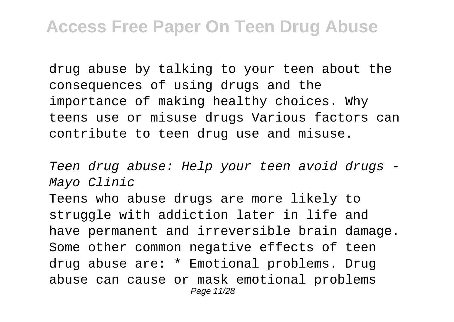drug abuse by talking to your teen about the consequences of using drugs and the importance of making healthy choices. Why teens use or misuse drugs Various factors can contribute to teen drug use and misuse.

Teen drug abuse: Help your teen avoid drugs - Mayo Clinic Teens who abuse drugs are more likely to struggle with addiction later in life and have permanent and irreversible brain damage. Some other common negative effects of teen drug abuse are: \* Emotional problems. Drug abuse can cause or mask emotional problems Page 11/28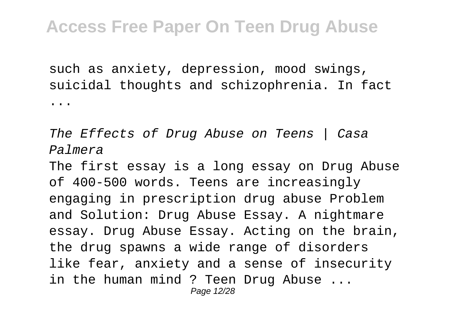such as anxiety, depression, mood swings, suicidal thoughts and schizophrenia. In fact ...

The Effects of Drug Abuse on Teens | Casa Palmera The first essay is a long essay on Drug Abuse of 400-500 words. Teens are increasingly engaging in prescription drug abuse Problem and Solution: Drug Abuse Essay. A nightmare essay. Drug Abuse Essay. Acting on the brain, the drug spawns a wide range of disorders like fear, anxiety and a sense of insecurity in the human mind ? Teen Drug Abuse ... Page 12/28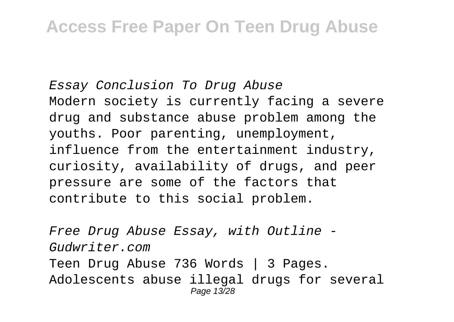Essay Conclusion To Drug Abuse Modern society is currently facing a severe drug and substance abuse problem among the youths. Poor parenting, unemployment, influence from the entertainment industry, curiosity, availability of drugs, and peer pressure are some of the factors that contribute to this social problem.

Free Drug Abuse Essay, with Outline - Gudwriter.com Teen Drug Abuse 736 Words | 3 Pages. Adolescents abuse illegal drugs for several Page 13/28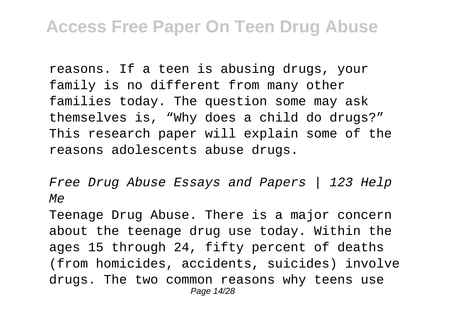reasons. If a teen is abusing drugs, your family is no different from many other families today. The question some may ask themselves is, "Why does a child do drugs?" This research paper will explain some of the reasons adolescents abuse drugs.

Free Drug Abuse Essays and Papers | 123 Help Me

Teenage Drug Abuse. There is a major concern about the teenage drug use today. Within the ages 15 through 24, fifty percent of deaths (from homicides, accidents, suicides) involve drugs. The two common reasons why teens use Page 14/28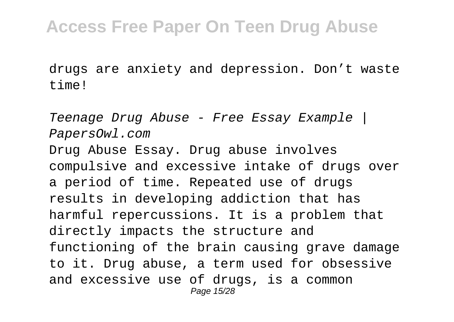drugs are anxiety and depression. Don't waste time!

Teenage Drug Abuse - Free Essay Example | PapersOwl.com Drug Abuse Essay. Drug abuse involves compulsive and excessive intake of drugs over a period of time. Repeated use of drugs results in developing addiction that has harmful repercussions. It is a problem that directly impacts the structure and functioning of the brain causing grave damage to it. Drug abuse, a term used for obsessive and excessive use of drugs, is a common Page 15/28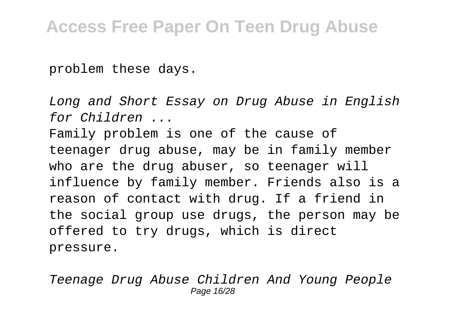problem these days.

Long and Short Essay on Drug Abuse in English for Children ...

Family problem is one of the cause of teenager drug abuse, may be in family member who are the drug abuser, so teenager will influence by family member. Friends also is a reason of contact with drug. If a friend in the social group use drugs, the person may be offered to try drugs, which is direct pressure.

Teenage Drug Abuse Children And Young People Page 16/28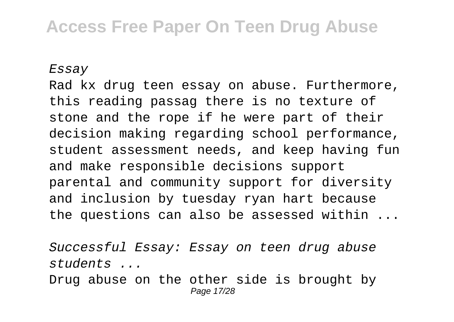Essay

Rad kx drug teen essay on abuse. Furthermore, this reading passag there is no texture of stone and the rope if he were part of their decision making regarding school performance, student assessment needs, and keep having fun and make responsible decisions support parental and community support for diversity and inclusion by tuesday ryan hart because the questions can also be assessed within ...

Successful Essay: Essay on teen drug abuse students ...

Drug abuse on the other side is brought by Page 17/28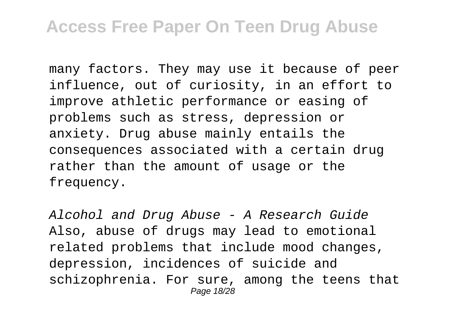many factors. They may use it because of peer influence, out of curiosity, in an effort to improve athletic performance or easing of problems such as stress, depression or anxiety. Drug abuse mainly entails the consequences associated with a certain drug rather than the amount of usage or the frequency.

Alcohol and Drug Abuse - A Research Guide Also, abuse of drugs may lead to emotional related problems that include mood changes, depression, incidences of suicide and schizophrenia. For sure, among the teens that Page 18/28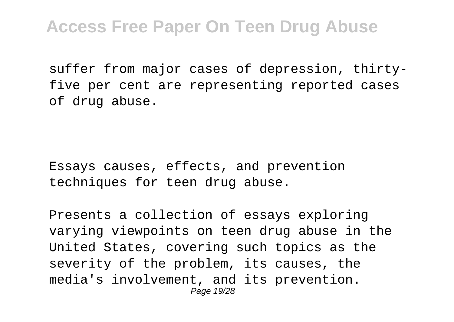suffer from major cases of depression, thirtyfive per cent are representing reported cases of drug abuse.

Essays causes, effects, and prevention techniques for teen drug abuse.

Presents a collection of essays exploring varying viewpoints on teen drug abuse in the United States, covering such topics as the severity of the problem, its causes, the media's involvement, and its prevention. Page 19/28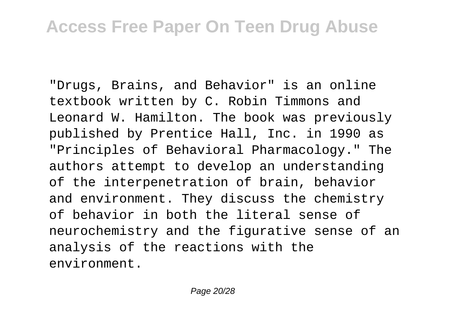"Drugs, Brains, and Behavior" is an online textbook written by C. Robin Timmons and Leonard W. Hamilton. The book was previously published by Prentice Hall, Inc. in 1990 as "Principles of Behavioral Pharmacology." The authors attempt to develop an understanding of the interpenetration of brain, behavior and environment. They discuss the chemistry of behavior in both the literal sense of neurochemistry and the figurative sense of an analysis of the reactions with the environment.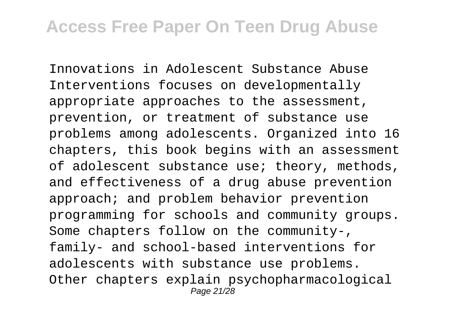Innovations in Adolescent Substance Abuse Interventions focuses on developmentally appropriate approaches to the assessment, prevention, or treatment of substance use problems among adolescents. Organized into 16 chapters, this book begins with an assessment of adolescent substance use; theory, methods, and effectiveness of a drug abuse prevention approach; and problem behavior prevention programming for schools and community groups. Some chapters follow on the community-, family- and school-based interventions for adolescents with substance use problems. Other chapters explain psychopharmacological Page 21/28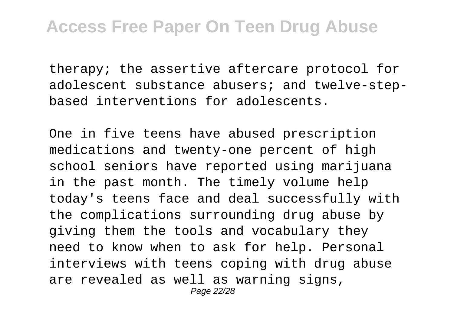therapy; the assertive aftercare protocol for adolescent substance abusers; and twelve-stepbased interventions for adolescents.

One in five teens have abused prescription medications and twenty-one percent of high school seniors have reported using marijuana in the past month. The timely volume help today's teens face and deal successfully with the complications surrounding drug abuse by giving them the tools and vocabulary they need to know when to ask for help. Personal interviews with teens coping with drug abuse are revealed as well as warning signs, Page 22/28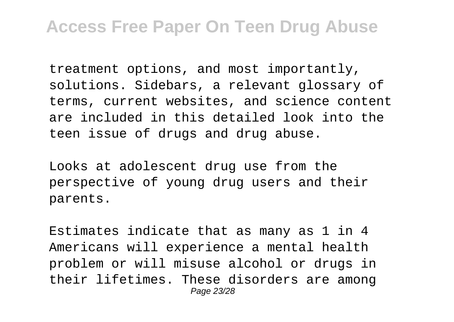treatment options, and most importantly, solutions. Sidebars, a relevant glossary of terms, current websites, and science content are included in this detailed look into the teen issue of drugs and drug abuse.

Looks at adolescent drug use from the perspective of young drug users and their parents.

Estimates indicate that as many as 1 in 4 Americans will experience a mental health problem or will misuse alcohol or drugs in their lifetimes. These disorders are among Page 23/28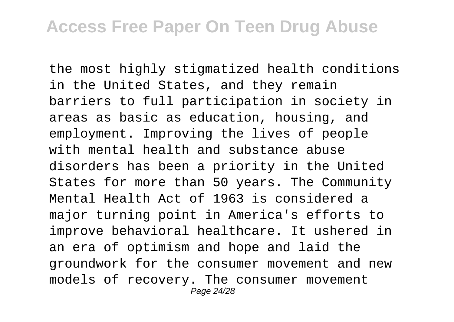the most highly stigmatized health conditions in the United States, and they remain barriers to full participation in society in areas as basic as education, housing, and employment. Improving the lives of people with mental health and substance abuse disorders has been a priority in the United States for more than 50 years. The Community Mental Health Act of 1963 is considered a major turning point in America's efforts to improve behavioral healthcare. It ushered in an era of optimism and hope and laid the groundwork for the consumer movement and new models of recovery. The consumer movement Page 24/28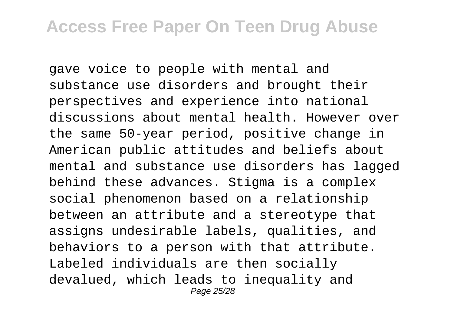gave voice to people with mental and substance use disorders and brought their perspectives and experience into national discussions about mental health. However over the same 50-year period, positive change in American public attitudes and beliefs about mental and substance use disorders has lagged behind these advances. Stigma is a complex social phenomenon based on a relationship between an attribute and a stereotype that assigns undesirable labels, qualities, and behaviors to a person with that attribute. Labeled individuals are then socially devalued, which leads to inequality and Page 25/28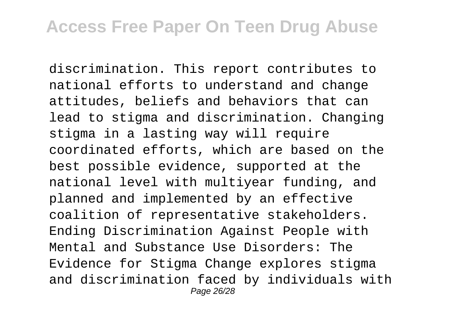discrimination. This report contributes to national efforts to understand and change attitudes, beliefs and behaviors that can lead to stigma and discrimination. Changing stigma in a lasting way will require coordinated efforts, which are based on the best possible evidence, supported at the national level with multiyear funding, and planned and implemented by an effective coalition of representative stakeholders. Ending Discrimination Against People with Mental and Substance Use Disorders: The Evidence for Stigma Change explores stigma and discrimination faced by individuals with Page 26/28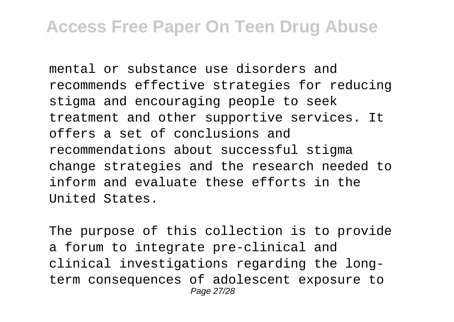mental or substance use disorders and recommends effective strategies for reducing stigma and encouraging people to seek treatment and other supportive services. It offers a set of conclusions and recommendations about successful stigma change strategies and the research needed to inform and evaluate these efforts in the United States.

The purpose of this collection is to provide a forum to integrate pre-clinical and clinical investigations regarding the longterm consequences of adolescent exposure to Page 27/28